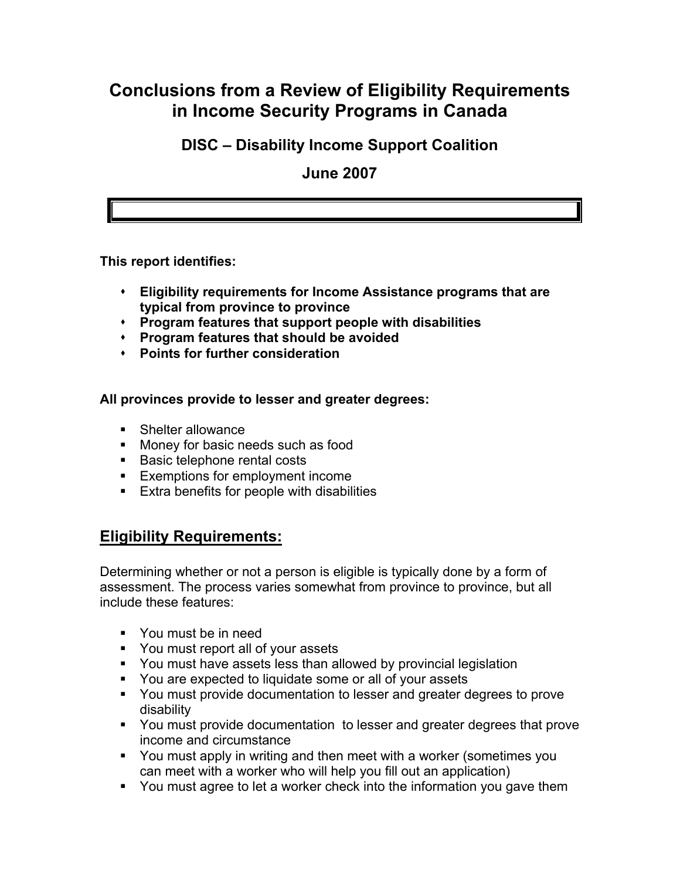# **Conclusions from a Review of Eligibility Requirements in Income Security Programs in Canada**

### **DISC – Disability Income Support Coalition**

**June 2007** 

**This report identifies:** 

- **Eligibility requirements for Income Assistance programs that are typical from province to province**
- **Program features that support people with disabilities**
- **Program features that should be avoided**
- **Points for further consideration**

**All provinces provide to lesser and greater degrees:** 

- Shelter allowance
- **Money for basic needs such as food**
- Basic telephone rental costs
- **Exemptions for employment income**
- **Extra benefits for people with disabilities**

### **Eligibility Requirements:**

Determining whether or not a person is eligible is typically done by a form of assessment. The process varies somewhat from province to province, but all include these features:

- You must be in need
- You must report all of your assets
- You must have assets less than allowed by provincial legislation
- You are expected to liquidate some or all of your assets
- You must provide documentation to lesser and greater degrees to prove disability
- You must provide documentation to lesser and greater degrees that prove income and circumstance
- You must apply in writing and then meet with a worker (sometimes you can meet with a worker who will help you fill out an application)
- You must agree to let a worker check into the information you gave them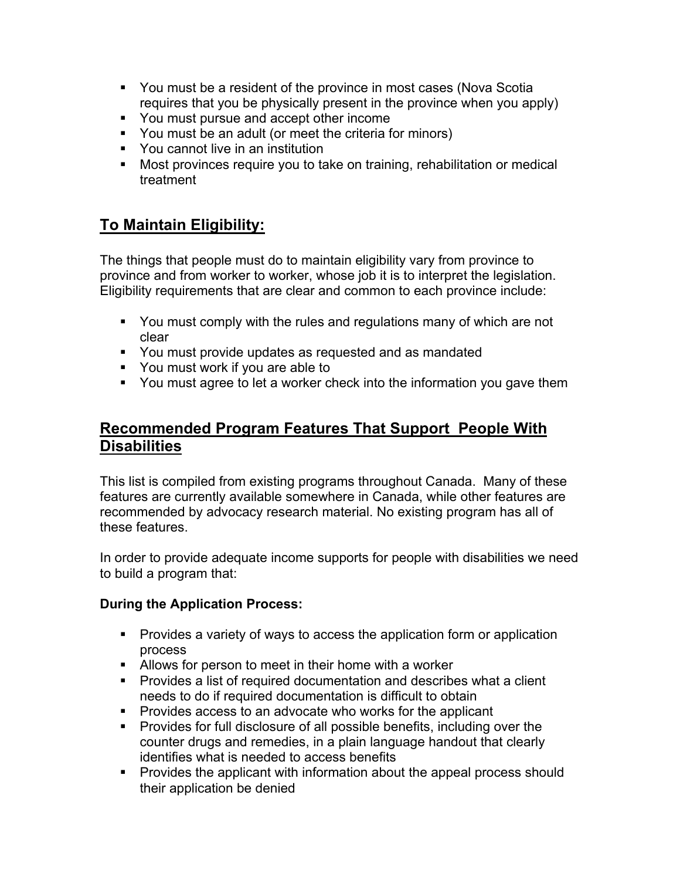- You must be a resident of the province in most cases (Nova Scotia requires that you be physically present in the province when you apply)
- You must pursue and accept other income
- You must be an adult (or meet the criteria for minors)
- **•** You cannot live in an institution
- Most provinces require you to take on training, rehabilitation or medical treatment

# **To Maintain Eligibility:**

The things that people must do to maintain eligibility vary from province to province and from worker to worker, whose job it is to interpret the legislation. Eligibility requirements that are clear and common to each province include:

- You must comply with the rules and regulations many of which are not clear
- You must provide updates as requested and as mandated
- You must work if you are able to
- You must agree to let a worker check into the information you gave them

### **Recommended Program Features That Support People With Disabilities**

This list is compiled from existing programs throughout Canada. Many of these features are currently available somewhere in Canada, while other features are recommended by advocacy research material. No existing program has all of these features.

In order to provide adequate income supports for people with disabilities we need to build a program that:

#### **During the Application Process:**

- **Provides a variety of ways to access the application form or application** process
- Allows for person to meet in their home with a worker
- **Provides a list of required documentation and describes what a client** needs to do if required documentation is difficult to obtain
- **Provides access to an advocate who works for the applicant**
- **Provides for full disclosure of all possible benefits, including over the** counter drugs and remedies, in a plain language handout that clearly identifies what is needed to access benefits
- **Provides the applicant with information about the appeal process should** their application be denied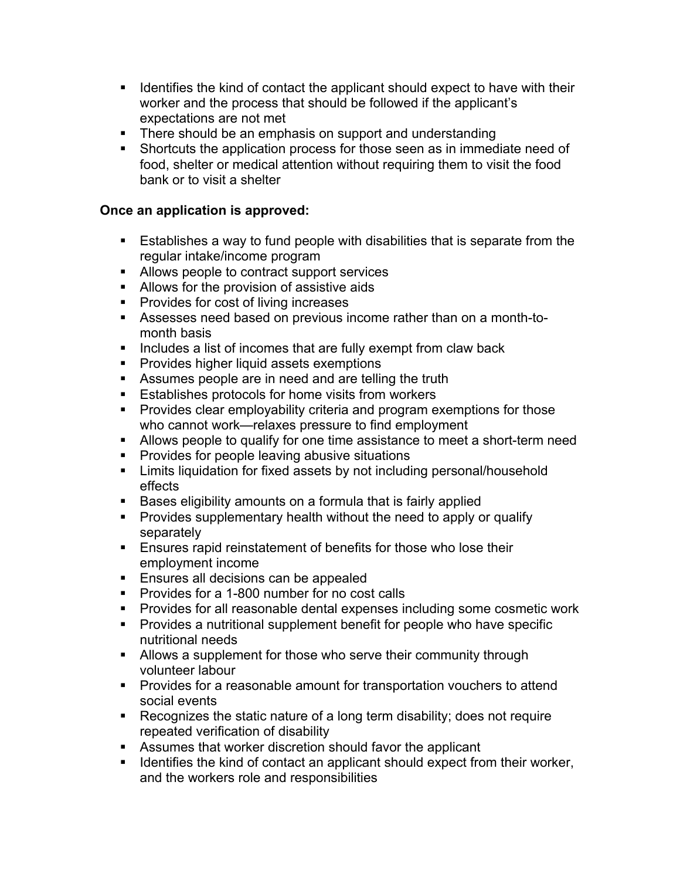- **If I**dentifies the kind of contact the applicant should expect to have with their worker and the process that should be followed if the applicant's expectations are not met
- There should be an emphasis on support and understanding
- Shortcuts the application process for those seen as in immediate need of food, shelter or medical attention without requiring them to visit the food bank or to visit a shelter

#### **Once an application is approved:**

- Establishes a way to fund people with disabilities that is separate from the regular intake/income program
- **Allows people to contract support services**
- **Allows for the provision of assistive aids**
- **Provides for cost of living increases**
- Assesses need based on previous income rather than on a month-tomonth basis
- **Includes a list of incomes that are fully exempt from claw back**
- **Provides higher liquid assets exemptions**
- Assumes people are in need and are telling the truth
- **Establishes protocols for home visits from workers**
- **Provides clear employability criteria and program exemptions for those** who cannot work—relaxes pressure to find employment
- Allows people to qualify for one time assistance to meet a short-term need
- **Provides for people leaving abusive situations**
- Limits liquidation for fixed assets by not including personal/household effects
- Bases eligibility amounts on a formula that is fairly applied
- **Provides supplementary health without the need to apply or qualify** separately
- **Ensures rapid reinstatement of benefits for those who lose their** employment income
- **Ensures all decisions can be appealed**
- **Provides for a 1-800 number for no cost calls**
- **Provides for all reasonable dental expenses including some cosmetic work**
- **Provides a nutritional supplement benefit for people who have specific** nutritional needs
- Allows a supplement for those who serve their community through volunteer labour
- **Provides for a reasonable amount for transportation vouchers to attend** social events
- Recognizes the static nature of a long term disability; does not require repeated verification of disability
- Assumes that worker discretion should favor the applicant
- **IDENTIFIER 19 IDENTIFIES the kind of contact an applicant should expect from their worker,** and the workers role and responsibilities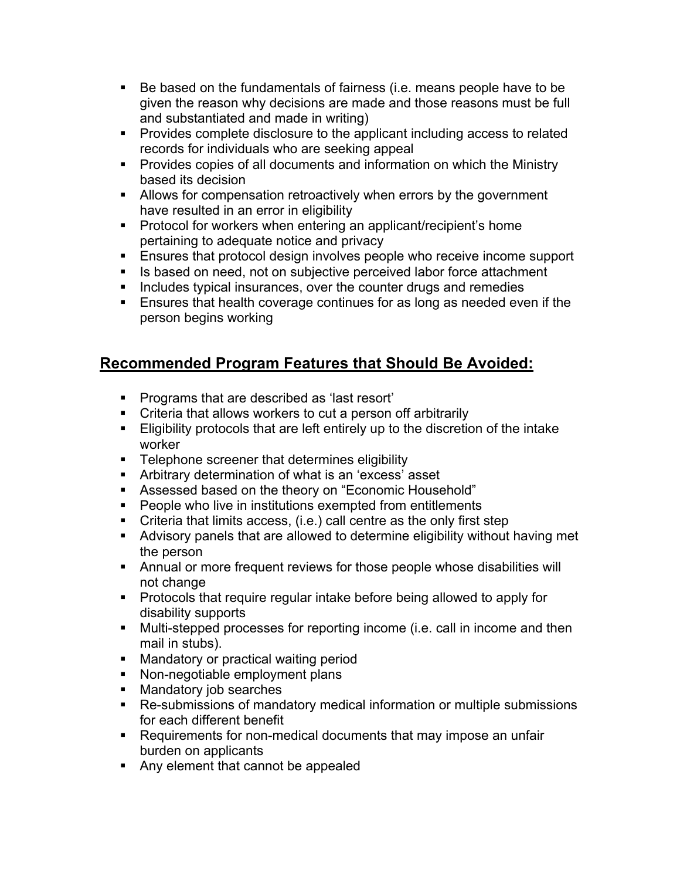- Be based on the fundamentals of fairness (i.e. means people have to be given the reason why decisions are made and those reasons must be full and substantiated and made in writing)
- **Provides complete disclosure to the applicant including access to related** records for individuals who are seeking appeal
- **Provides copies of all documents and information on which the Ministry** based its decision
- **Allows for compensation retroactively when errors by the government** have resulted in an error in eligibility
- **Protocol for workers when entering an applicant/recipient's home** pertaining to adequate notice and privacy
- **Ensures that protocol design involves people who receive income support**
- **IS based on need, not on subjective perceived labor force attachment**
- **Includes typical insurances, over the counter drugs and remedies**
- Ensures that health coverage continues for as long as needed even if the person begins working

## **Recommended Program Features that Should Be Avoided:**

- **Programs that are described as 'last resort'**
- Criteria that allows workers to cut a person off arbitrarily
- Eligibility protocols that are left entirely up to the discretion of the intake worker
- **Telephone screener that determines eligibility**
- Arbitrary determination of what is an 'excess' asset
- Assessed based on the theory on "Economic Household"
- **People who live in institutions exempted from entitlements**
- Criteria that limits access, (i.e.) call centre as the only first step
- Advisory panels that are allowed to determine eligibility without having met the person
- Annual or more frequent reviews for those people whose disabilities will not change
- **Protocols that require regular intake before being allowed to apply for** disability supports
- Multi-stepped processes for reporting income (i.e. call in income and then mail in stubs).
- **Mandatory or practical waiting period**
- Non-negotiable employment plans
- Mandatory job searches
- Re-submissions of mandatory medical information or multiple submissions for each different benefit
- Requirements for non-medical documents that may impose an unfair burden on applicants
- Any element that cannot be appealed